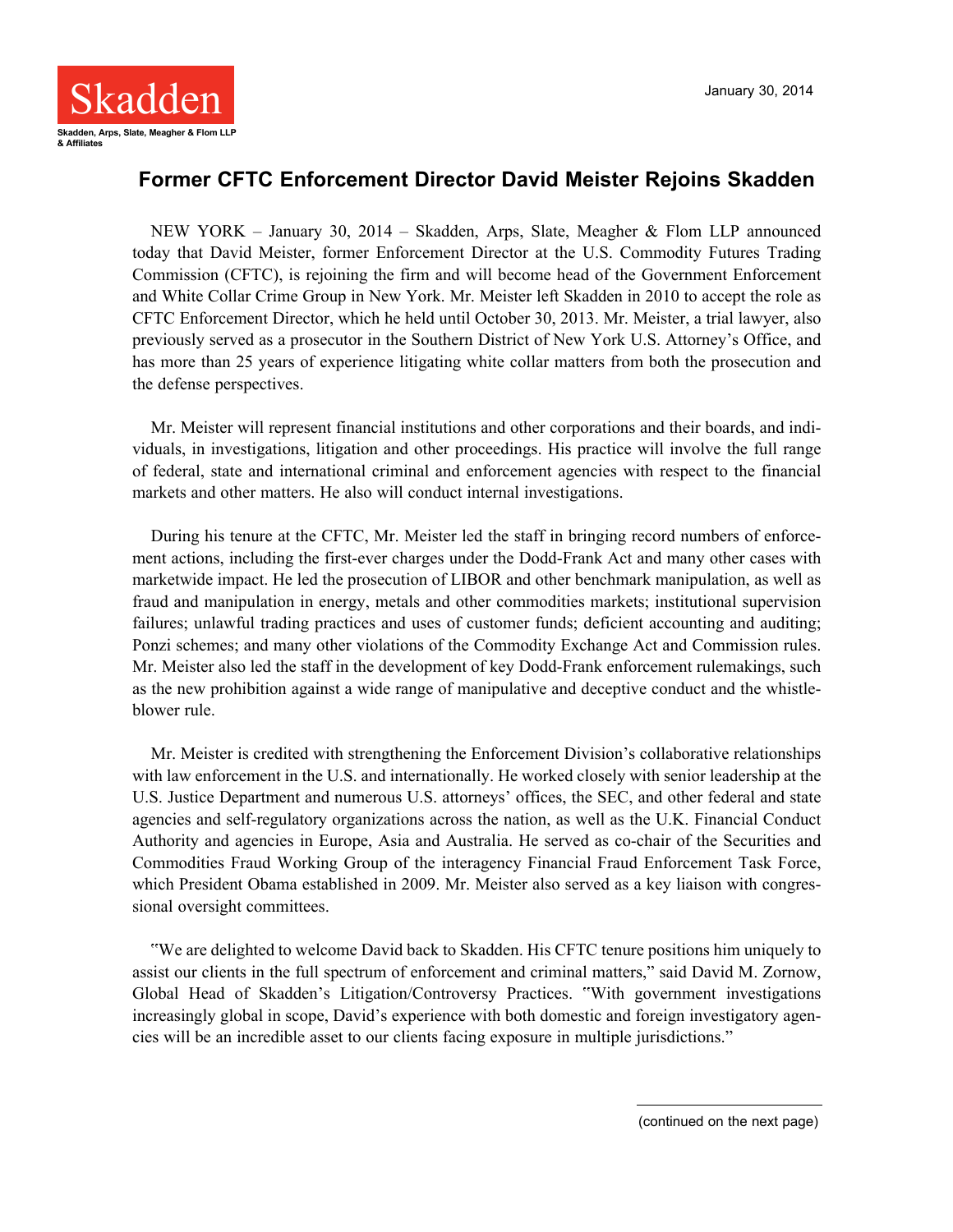

## **Former CFTC Enforcement Director David Meister Rejoins Skadden**

NEW YORK – January 30, 2014 – Skadden, Arps, Slate, Meagher & Flom LLP announced today that David Meister, former Enforcement Director at the U.S. Commodity Futures Trading Commission (CFTC), is rejoining the firm and will become head of the Government Enforcement and White Collar Crime Group in New York. Mr. Meister left Skadden in 2010 to accept the role as CFTC Enforcement Director, which he held until October 30, 2013. Mr. Meister, a trial lawyer, also previously served as a prosecutor in the Southern District of New York U.S. Attorney's Office, and has more than 25 years of experience litigating white collar matters from both the prosecution and the defense perspectives.

Mr. Meister will represent financial institutions and other corporations and their boards, and individuals, in investigations, litigation and other proceedings. His practice will involve the full range of federal, state and international criminal and enforcement agencies with respect to the financial markets and other matters. He also will conduct internal investigations.

During his tenure at the CFTC, Mr. Meister led the staff in bringing record numbers of enforcement actions, including the first-ever charges under the Dodd-Frank Act and many other cases with marketwide impact. He led the prosecution of LIBOR and other benchmark manipulation, as well as fraud and manipulation in energy, metals and other commodities markets; institutional supervision failures; unlawful trading practices and uses of customer funds; deficient accounting and auditing; Ponzi schemes; and many other violations of the Commodity Exchange Act and Commission rules. Mr. Meister also led the staff in the development of key Dodd-Frank enforcement rulemakings, such as the new prohibition against a wide range of manipulative and deceptive conduct and the whistleblower rule.

Mr. Meister is credited with strengthening the Enforcement Division's collaborative relationships with law enforcement in the U.S. and internationally. He worked closely with senior leadership at the U.S. Justice Department and numerous U.S. attorneys' offices, the SEC, and other federal and state agencies and self-regulatory organizations across the nation, as well as the U.K. Financial Conduct Authority and agencies in Europe, Asia and Australia. He served as co-chair of the Securities and Commodities Fraud Working Group of the interagency Financial Fraud Enforcement Task Force, which President Obama established in 2009. Mr. Meister also served as a key liaison with congressional oversight committees.

"We are delighted to welcome David back to Skadden. His CFTC tenure positions him uniquely to assist our clients in the full spectrum of enforcement and criminal matters," said David M. Zornow, Global Head of Skadden's Litigation/Controversy Practices. "With government investigations increasingly global in scope, David's experience with both domestic and foreign investigatory agencies will be an incredible asset to our clients facing exposure in multiple jurisdictions."

(continued on the next page)